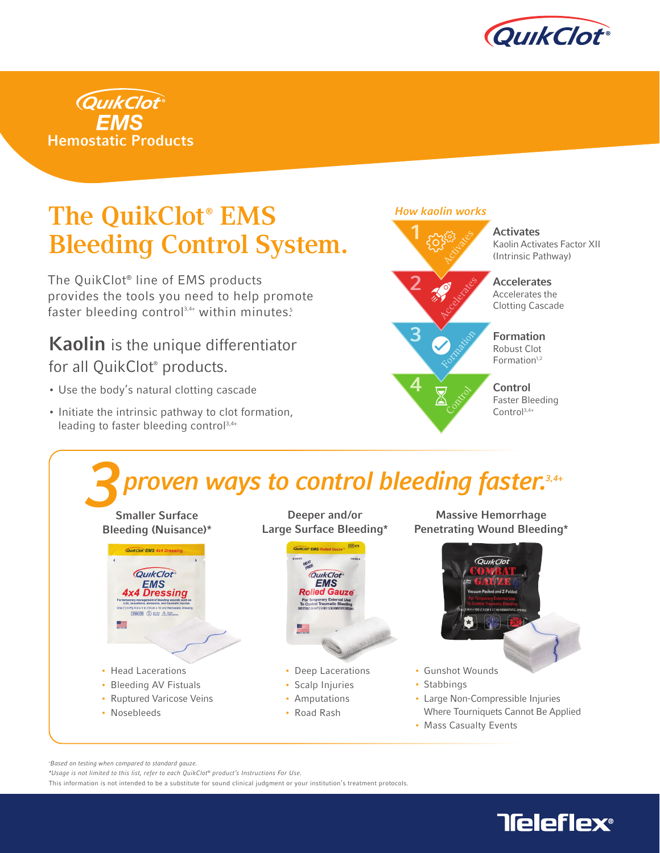



## The QuikClot® EMS Bleeding Control System.

The QuikClot® line of EMS products provides the tools you need to help promote faster bleeding control $3,4+$  within minutes.<sup>5</sup>

## Kaolin is the unique differentiator for all QuikClot® products.

- Use the body's natural clotting cascade
- Initiate the intrinsic pathway to clot formation, leading to faster bleeding control<sup>3,4+</sup>





+ Based on testing when compared to standard gauze.

\*Usage is not limited to this list, refer to each QuikClot® product's Instructions For Use.

This information is not intended to be a substitute for sound clinical judgment or your institution's treatment protocols.